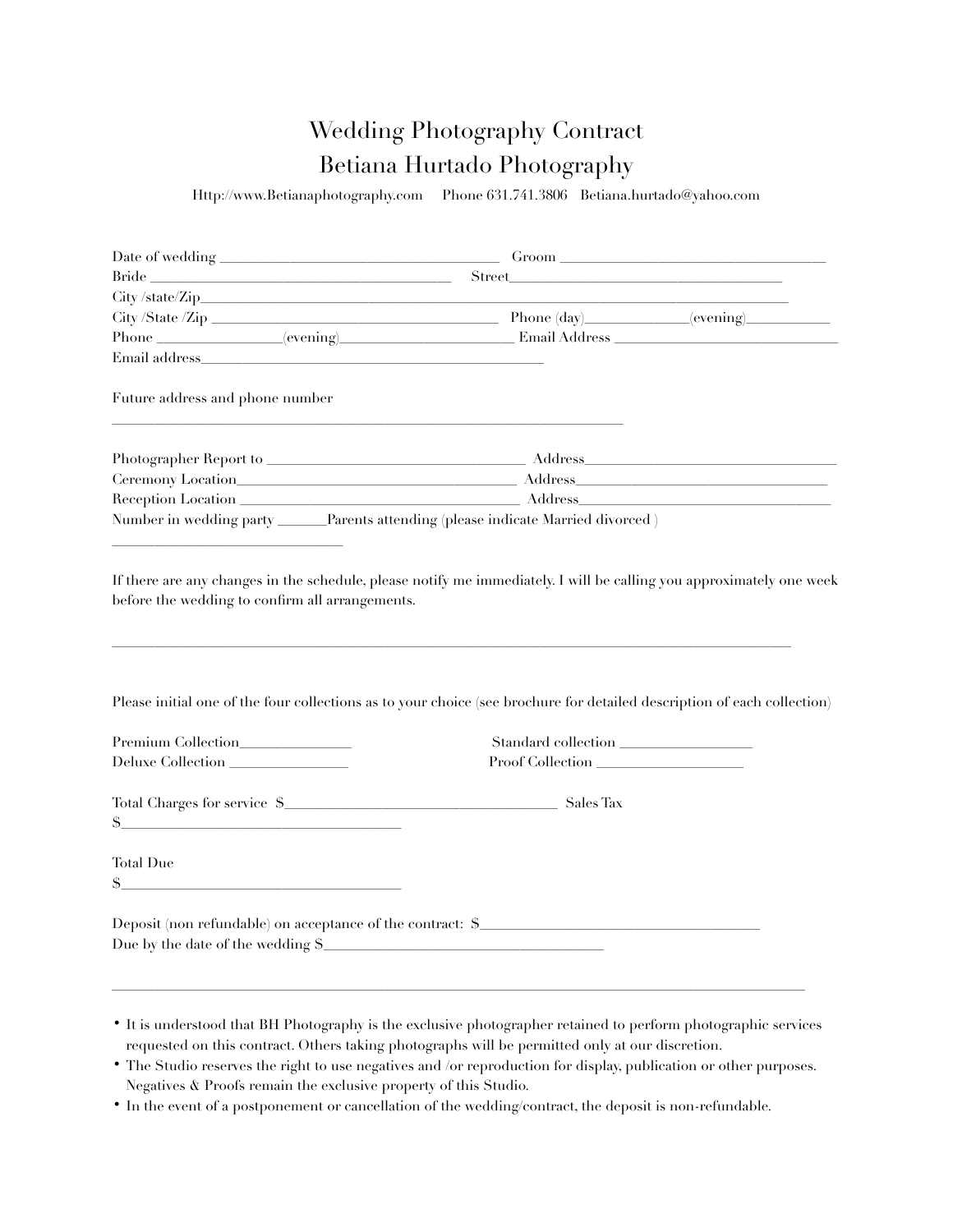## Wedding Photography Contract Betiana Hurtado Photography

Http://www.Betianaphotography.com Phone 631.741.3806 Betiana.hurtado@yahoo.com

|                                                                                                                                                                                                                                | Groom has been a series of the series of the series of the series of the series of the series of the series of the series of the series of the series of the series of the series of the series of the series of the series of |                                                                                                                                                                                                                                |
|--------------------------------------------------------------------------------------------------------------------------------------------------------------------------------------------------------------------------------|--------------------------------------------------------------------------------------------------------------------------------------------------------------------------------------------------------------------------------|--------------------------------------------------------------------------------------------------------------------------------------------------------------------------------------------------------------------------------|
| Bride                                                                                                                                                                                                                          | Street and the state of the state of the state of the state of the state of the state of the state of the state of the state of the state of the state of the state of the state of the state of the state of the state of the |                                                                                                                                                                                                                                |
|                                                                                                                                                                                                                                |                                                                                                                                                                                                                                |                                                                                                                                                                                                                                |
|                                                                                                                                                                                                                                |                                                                                                                                                                                                                                |                                                                                                                                                                                                                                |
|                                                                                                                                                                                                                                |                                                                                                                                                                                                                                |                                                                                                                                                                                                                                |
| Email address and the contract of the contract of the contract of the contract of the contract of the contract of the contract of the contract of the contract of the contract of the contract of the contract of the contract |                                                                                                                                                                                                                                |                                                                                                                                                                                                                                |
| Future address and phone number                                                                                                                                                                                                |                                                                                                                                                                                                                                |                                                                                                                                                                                                                                |
|                                                                                                                                                                                                                                |                                                                                                                                                                                                                                |                                                                                                                                                                                                                                |
|                                                                                                                                                                                                                                |                                                                                                                                                                                                                                | Address and the contract of the contract of the contract of the contract of the contract of the contract of the contract of the contract of the contract of the contract of the contract of the contract of the contract of th |
|                                                                                                                                                                                                                                |                                                                                                                                                                                                                                |                                                                                                                                                                                                                                |
|                                                                                                                                                                                                                                | Number in wedding party ______Parents attending (please indicate Married divorced)                                                                                                                                             |                                                                                                                                                                                                                                |
|                                                                                                                                                                                                                                | Please initial one of the four collections as to your choice (see brochure for detailed description of each collection)                                                                                                        |                                                                                                                                                                                                                                |
|                                                                                                                                                                                                                                | Standard collection                                                                                                                                                                                                            |                                                                                                                                                                                                                                |
| Deluxe Collection                                                                                                                                                                                                              | Proof Collection                                                                                                                                                                                                               |                                                                                                                                                                                                                                |
| Total Charges for service \$<br>$S_{-}$<br>the control of the control of the control of the control of                                                                                                                         | Sales Tax                                                                                                                                                                                                                      |                                                                                                                                                                                                                                |
| <b>Total Due</b>                                                                                                                                                                                                               |                                                                                                                                                                                                                                |                                                                                                                                                                                                                                |
| S                                                                                                                                                                                                                              |                                                                                                                                                                                                                                |                                                                                                                                                                                                                                |
| Deposit (non refundable) on acceptance of the contract: \$<br>Due by the date of the wedding \$_                                                                                                                               |                                                                                                                                                                                                                                |                                                                                                                                                                                                                                |
|                                                                                                                                                                                                                                |                                                                                                                                                                                                                                |                                                                                                                                                                                                                                |

• In the event of a postponement or cancellation of the wedding/contract, the deposit is non-refundable.

<sup>•</sup> It is understood that BH Photography is the exclusive photographer retained to perform photographic services requested on this contract. Others taking photographs will be permitted only at our discretion.

<sup>•</sup> The Studio reserves the right to use negatives and /or reproduction for display, publication or other purposes. Negatives & Proofs remain the exclusive property of this Studio.